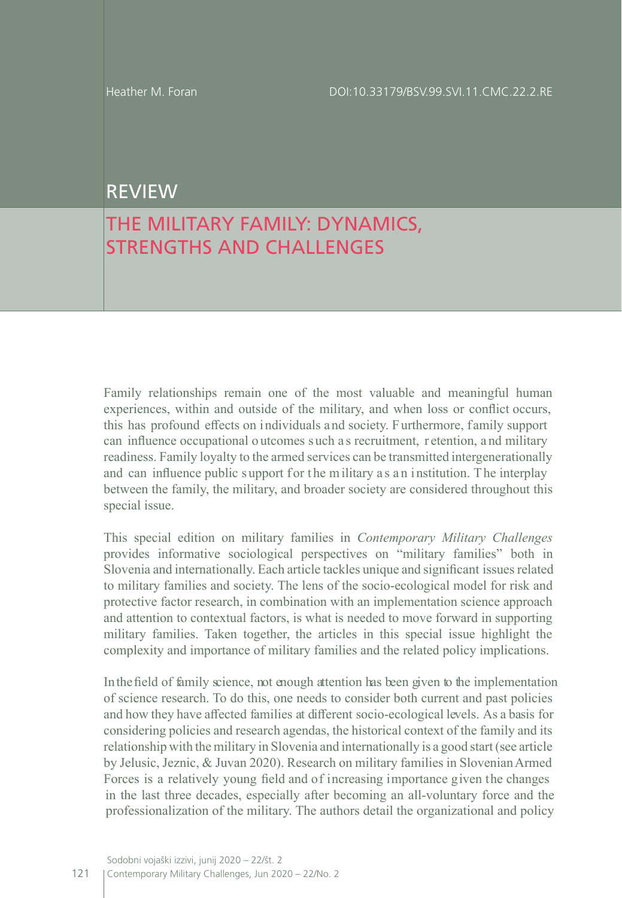## REVIEW

## THE MILITARY FAMILY: DYNAMICS, STRENGTHS AND CHALLENGES

Family relationships remain one of the most valuable and meaningful human experiences, within and outside of the military, and when loss or conflict occurs, this has profound effects on individuals and society. Furthermore, family support can influence occupational o utcomes s uch a s recruitment, r etention, a nd military readiness. Family loyalty to the armed services can be transmitted intergenerationally and can influence public support for the military as an institution. The interplay between the family, the military, and broader society are considered throughout this special issue.

This special edition on military families in *Contemporary Military Challenges* provides informative sociological perspectives on "military families" both in Slovenia and internationally. Each article tackles unique and significant issues related to military families and society. The lens of the socio-ecological model for risk and protective factor research, in combination with an implementation science approach and attention to contextual factors, is what is needed to move forward in supporting military families. Taken together, the articles in this special issue highlight the complexity and importance of military families and the related policy implications.

In the field of family science, not enough attention has been given to the implementation of science research. To do this, one needs to consider both current and past policies and how they have affected families at different socio-ecological levels. As a basis for considering policies and research agendas, the historical context of the family and its relationship with the military in Slovenia and internationally is a good start (see article by Jelusic, Jeznic, & Juvan 2020). Research on military families in Slovenian Armed Forces is a relatively young field and of increasing importance given the changes in the last three decades, especially after becoming an all-voluntary force and the professionalization of the military. The authors detail the organizational and policy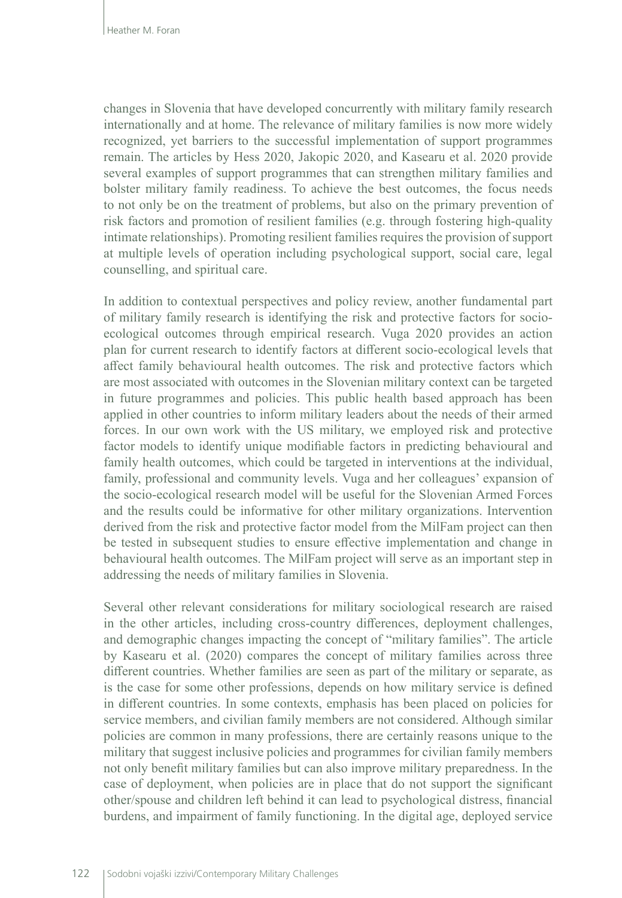changes in Slovenia that have developed concurrently with military family research internationally and at home. The relevance of military families is now more widely recognized, yet barriers to the successful implementation of support programmes remain. The articles by Hess 2020, Jakopic 2020, and Kasearu et al. 2020 provide several examples of support programmes that can strengthen military families and bolster military family readiness. To achieve the best outcomes, the focus needs to not only be on the treatment of problems, but also on the primary prevention of risk factors and promotion of resilient families (e.g. through fostering high-quality intimate relationships). Promoting resilient families requires the provision of support at multiple levels of operation including psychological support, social care, legal counselling, and spiritual care.

In addition to contextual perspectives and policy review, another fundamental part of military family research is identifying the risk and protective factors for socioecological outcomes through empirical research. Vuga 2020 provides an action plan for current research to identify factors at different socio-ecological levels that affect family behavioural health outcomes. The risk and protective factors which are most associated with outcomes in the Slovenian military context can be targeted in future programmes and policies. This public health based approach has been applied in other countries to inform military leaders about the needs of their armed forces. In our own work with the US military, we employed risk and protective factor models to identify unique modifiable factors in predicting behavioural and family health outcomes, which could be targeted in interventions at the individual, family, professional and community levels. Vuga and her colleagues' expansion of the socio-ecological research model will be useful for the Slovenian Armed Forces and the results could be informative for other military organizations. Intervention derived from the risk and protective factor model from the MilFam project can then be tested in subsequent studies to ensure effective implementation and change in behavioural health outcomes. The MilFam project will serve as an important step in addressing the needs of military families in Slovenia.

Several other relevant considerations for military sociological research are raised in the other articles, including cross-country differences, deployment challenges, and demographic changes impacting the concept of "military families". The article by Kasearu et al. (2020) compares the concept of military families across three different countries. Whether families are seen as part of the military or separate, as is the case for some other professions, depends on how military service is defined in different countries. In some contexts, emphasis has been placed on policies for service members, and civilian family members are not considered. Although similar policies are common in many professions, there are certainly reasons unique to the military that suggest inclusive policies and programmes for civilian family members not only benefit military families but can also improve military preparedness. In the case of deployment, when policies are in place that do not support the significant other/spouse and children left behind it can lead to psychological distress, financial burdens, and impairment of family functioning. In the digital age, deployed service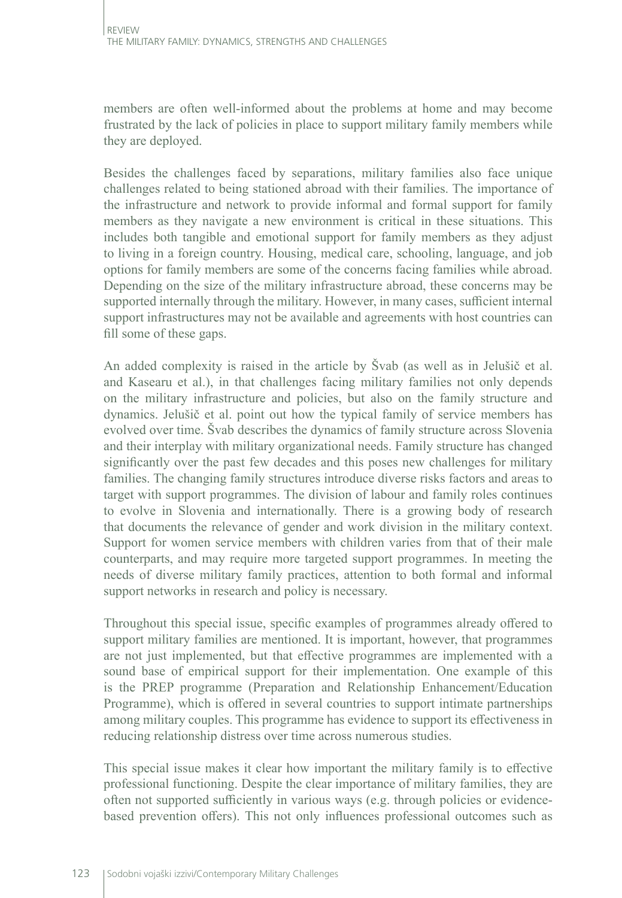members are often well-informed about the problems at home and may become frustrated by the lack of policies in place to support military family members while they are deployed.

Besides the challenges faced by separations, military families also face unique challenges related to being stationed abroad with their families. The importance of the infrastructure and network to provide informal and formal support for family members as they navigate a new environment is critical in these situations. This includes both tangible and emotional support for family members as they adjust to living in a foreign country. Housing, medical care, schooling, language, and job options for family members are some of the concerns facing families while abroad. Depending on the size of the military infrastructure abroad, these concerns may be supported internally through the military. However, in many cases, sufficient internal support infrastructures may not be available and agreements with host countries can fill some of these gaps.

An added complexity is raised in the article by Švab (as well as in Jelušič et al. and Kasearu et al.), in that challenges facing military families not only depends on the military infrastructure and policies, but also on the family structure and dynamics. Jelušič et al. point out how the typical family of service members has evolved over time. Švab describes the dynamics of family structure across Slovenia and their interplay with military organizational needs. Family structure has changed significantly over the past few decades and this poses new challenges for military families. The changing family structures introduce diverse risks factors and areas to target with support programmes. The division of labour and family roles continues to evolve in Slovenia and internationally. There is a growing body of research that documents the relevance of gender and work division in the military context. Support for women service members with children varies from that of their male counterparts, and may require more targeted support programmes. In meeting the needs of diverse military family practices, attention to both formal and informal support networks in research and policy is necessary.

Throughout this special issue, specific examples of programmes already offered to support military families are mentioned. It is important, however, that programmes are not just implemented, but that effective programmes are implemented with a sound base of empirical support for their implementation. One example of this is the PREP programme (Preparation and Relationship Enhancement/Education Programme), which is offered in several countries to support intimate partnerships among military couples. This programme has evidence to support its effectiveness in reducing relationship distress over time across numerous studies.

This special issue makes it clear how important the military family is to effective professional functioning. Despite the clear importance of military families, they are often not supported sufficiently in various ways (e.g. through policies or evidencebased prevention offers). This not only influences professional outcomes such as